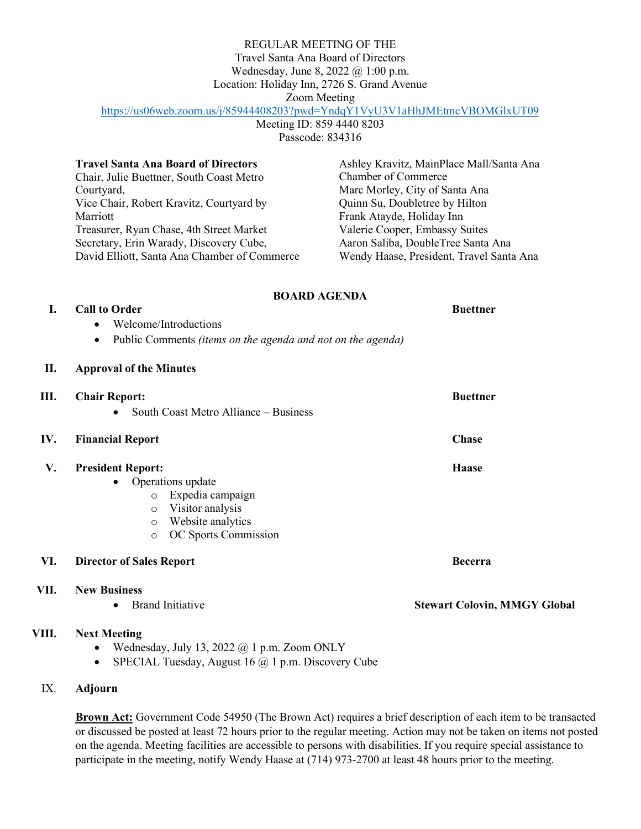#### REGULAR MEETING OF THE

Travel Santa Ana Board of Directors

Wednesday, June 8, 2022 @ 1:00 p.m.

Location: Holiday Inn, 2726 S. Grand Avenue

Zoom Meeting

# <https://us06web.zoom.us/j/85944408203?pwd=YndqY1VyU3V1aHhJMEtmcVBOMGlxUT09>

Meeting ID: 859 4440 8203 Passcode: 834316

| <b>Travel Santa Ana Board of Directors</b>   | Ashley Kravitz, MainPlace Mall/Santa Ana |
|----------------------------------------------|------------------------------------------|
| Chair, Julie Buettner, South Coast Metro     | <b>Chamber of Commerce</b>               |
| Courtyard,                                   | Marc Morley, City of Santa Ana           |
| Vice Chair, Robert Kravitz, Courtyard by     | Quinn Su, Doubletree by Hilton           |
| Marriott                                     | Frank Atayde, Holiday Inn                |
| Treasurer, Ryan Chase, 4th Street Market     | Valerie Cooper, Embassy Suites           |
| Secretary, Erin Warady, Discovery Cube,      | Aaron Saliba, DoubleTree Santa Ana       |
| David Elliott, Santa Ana Chamber of Commerce | Wendy Haase, President, Travel Santa Ana |

# **BOARD AGENDA**

**I. Call to Order Buettner** 

- Welcome/Introductions
	- Public Comments *(items on the agenda and not on the agenda)*

### **II. Approval of the Minutes**

| Ш.   | <b>Chair Report:</b><br>South Coast Metro Alliance – Business<br>$\bullet$                                                                                               | <b>Buettner</b>                     |
|------|--------------------------------------------------------------------------------------------------------------------------------------------------------------------------|-------------------------------------|
| IV.  | <b>Financial Report</b>                                                                                                                                                  | <b>Chase</b>                        |
| V.   | <b>President Report:</b><br>Operations update<br>Expedia campaign<br>$\circ$<br>Visitor analysis<br>$\circ$<br>Website analytics<br>$\circ$<br>OC Sports Commission<br>O | <b>Haase</b>                        |
| VI.  | <b>Director of Sales Report</b>                                                                                                                                          | <b>Becerra</b>                      |
| VII. | <b>New Business</b><br><b>Brand Initiative</b><br>$\bullet$                                                                                                              | <b>Stewart Colovin, MMGY Global</b> |

## **VIII. Next Meeting**

- Wednesday, July 13, 2022  $\omega$  1 p.m. Zoom ONLY
- SPECIAL Tuesday, August 16  $@$  1 p.m. Discovery Cube

## IX. **Adjourn**

**Brown Act:** Government Code 54950 (The Brown Act) requires a brief description of each item to be transacted or discussed be posted at least 72 hours prior to the regular meeting. Action may not be taken on items not posted on the agenda. Meeting facilities are accessible to persons with disabilities. If you require special assistance to participate in the meeting, notify Wendy Haase at (714) 973-2700 at least 48 hours prior to the meeting.